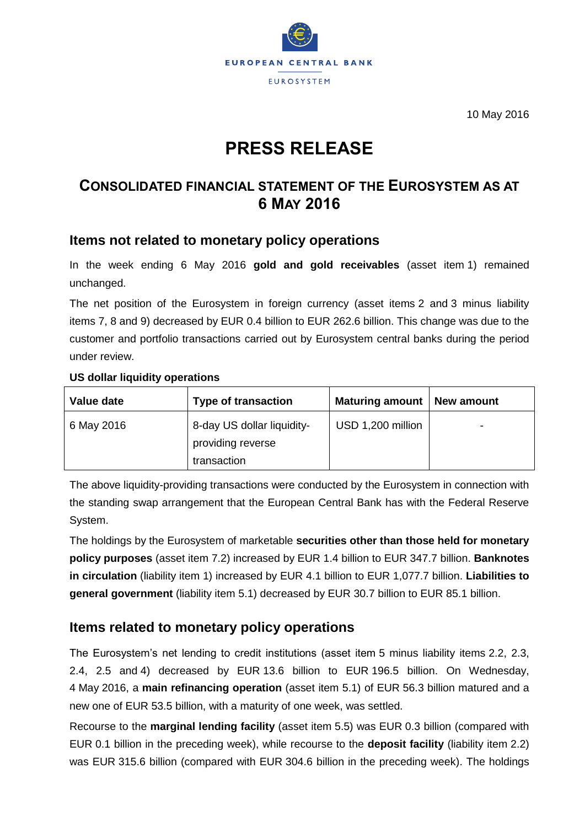

10 May 2016

# **PRESS RELEASE**

# **CONSOLIDATED FINANCIAL STATEMENT OF THE EUROSYSTEM AS AT 6 MAY 2016**

### **Items not related to monetary policy operations**

In the week ending 6 May 2016 **gold and gold receivables** (asset item 1) remained unchanged.

The net position of the Eurosystem in foreign currency (asset items 2 and 3 minus liability items 7, 8 and 9) decreased by EUR 0.4 billion to EUR 262.6 billion. This change was due to the customer and portfolio transactions carried out by Eurosystem central banks during the period under review.

#### **US dollar liquidity operations**

| Value date | <b>Type of transaction</b>                                     | Maturing amount   New amount |   |
|------------|----------------------------------------------------------------|------------------------------|---|
| 6 May 2016 | 8-day US dollar liquidity-<br>providing reverse<br>transaction | USD 1,200 million            | ۰ |

The above liquidity-providing transactions were conducted by the Eurosystem in connection with the standing swap arrangement that the European Central Bank has with the Federal Reserve System.

The holdings by the Eurosystem of marketable **securities other than those held for monetary policy purposes** (asset item 7.2) increased by EUR 1.4 billion to EUR 347.7 billion. **Banknotes in circulation** (liability item 1) increased by EUR 4.1 billion to EUR 1,077.7 billion. **Liabilities to general government** (liability item 5.1) decreased by EUR 30.7 billion to EUR 85.1 billion.

# **Items related to monetary policy operations**

The Eurosystem's net lending to credit institutions (asset item 5 minus liability items 2.2, 2.3, 2.4, 2.5 and 4) decreased by EUR 13.6 billion to EUR 196.5 billion. On Wednesday, 4 May 2016, a **main refinancing operation** (asset item 5.1) of EUR 56.3 billion matured and a new one of EUR 53.5 billion, with a maturity of one week, was settled.

Recourse to the **marginal lending facility** (asset item 5.5) was EUR 0.3 billion (compared with EUR 0.1 billion in the preceding week), while recourse to the **deposit facility** (liability item 2.2) was EUR 315.6 billion (compared with EUR 304.6 billion in the preceding week). The holdings